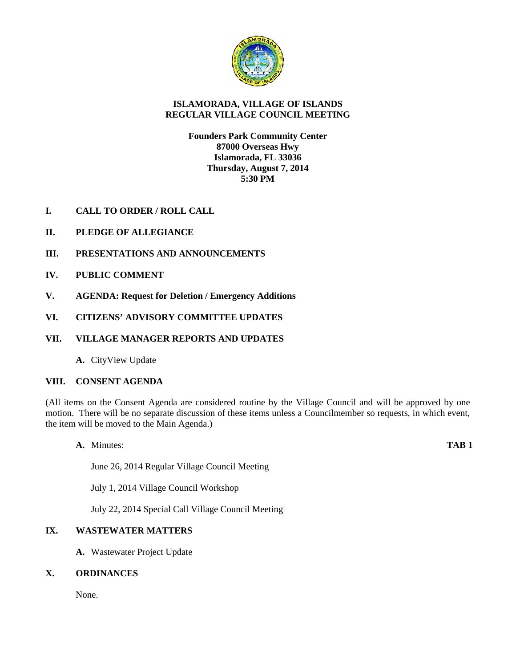

# **ISLAMORADA, VILLAGE OF ISLANDS REGULAR VILLAGE COUNCIL MEETING**

**Founders Park Community Center 87000 Overseas Hwy Islamorada, FL 33036 Thursday, August 7, 2014 5:30 PM**

- **I. CALL TO ORDER / ROLL CALL**
- **II. PLEDGE OF ALLEGIANCE**
- **III. PRESENTATIONS AND ANNOUNCEMENTS**
- **IV. PUBLIC COMMENT**
- **V. AGENDA: Request for Deletion / Emergency Additions**
- **VI. CITIZENS' ADVISORY COMMITTEE UPDATES**
- **VII. VILLAGE MANAGER REPORTS AND UPDATES**
	- **A.** CityView Update

## **VIII. CONSENT AGENDA**

(All items on the Consent Agenda are considered routine by the Village Council and will be approved by one motion. There will be no separate discussion of these items unless a Councilmember so requests, in which event, the item will be moved to the Main Agenda.)

**A.** Minutes: **TAB 1**

June 26, 2014 Regular Village Council Meeting

July 1, 2014 Village Council Workshop

July 22, 2014 Special Call Village Council Meeting

# **IX. WASTEWATER MATTERS**

**A.** Wastewater Project Update

## **X. ORDINANCES**

None.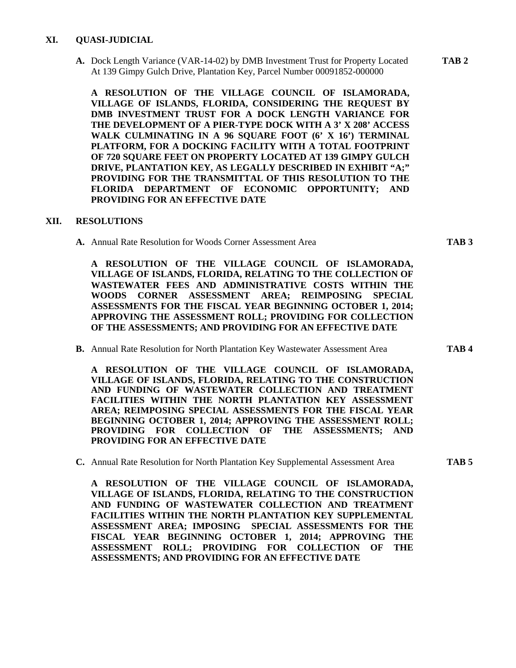## **XI. QUASI-JUDICIAL**

**A.** Dock Length Variance (VAR-14-02) by DMB Investment Trust for Property Located **TAB 2** At 139 Gimpy Gulch Drive, Plantation Key, Parcel Number 00091852-000000

**A RESOLUTION OF THE VILLAGE COUNCIL OF ISLAMORADA, VILLAGE OF ISLANDS, FLORIDA, CONSIDERING THE REQUEST BY DMB INVESTMENT TRUST FOR A DOCK LENGTH VARIANCE FOR THE DEVELOPMENT OF A PIER-TYPE DOCK WITH A 3' X 208' ACCESS WALK CULMINATING IN A 96 SQUARE FOOT (6' X 16') TERMINAL PLATFORM, FOR A DOCKING FACILITY WITH A TOTAL FOOTPRINT OF 720 SQUARE FEET ON PROPERTY LOCATED AT 139 GIMPY GULCH DRIVE, PLANTATION KEY, AS LEGALLY DESCRIBED IN EXHIBIT "A;" PROVIDING FOR THE TRANSMITTAL OF THIS RESOLUTION TO THE FLORIDA DEPARTMENT OF ECONOMIC OPPORTUNITY; AND PROVIDING FOR AN EFFECTIVE DATE**

## **XII. RESOLUTIONS**

**A.** Annual Rate Resolution for Woods Corner Assessment Area **TAB 3**

**A RESOLUTION OF THE VILLAGE COUNCIL OF ISLAMORADA, VILLAGE OF ISLANDS, FLORIDA, RELATING TO THE COLLECTION OF WASTEWATER FEES AND ADMINISTRATIVE COSTS WITHIN THE WOODS CORNER ASSESSMENT AREA; REIMPOSING SPECIAL ASSESSMENTS FOR THE FISCAL YEAR BEGINNING OCTOBER 1, 2014; APPROVING THE ASSESSMENT ROLL; PROVIDING FOR COLLECTION OF THE ASSESSMENTS; AND PROVIDING FOR AN EFFECTIVE DATE**

**B.** Annual Rate Resolution for North Plantation Key Wastewater Assessment Area **TAB 4**

**A RESOLUTION OF THE VILLAGE COUNCIL OF ISLAMORADA, VILLAGE OF ISLANDS, FLORIDA, RELATING TO THE CONSTRUCTION AND FUNDING OF WASTEWATER COLLECTION AND TREATMENT FACILITIES WITHIN THE NORTH PLANTATION KEY ASSESSMENT AREA; REIMPOSING SPECIAL ASSESSMENTS FOR THE FISCAL YEAR BEGINNING OCTOBER 1, 2014; APPROVING THE ASSESSMENT ROLL; PROVIDING FOR COLLECTION OF THE ASSESSMENTS; AND PROVIDING FOR AN EFFECTIVE DATE**

**C.** Annual Rate Resolution for North Plantation Key Supplemental Assessment Area **TAB 5**

**A RESOLUTION OF THE VILLAGE COUNCIL OF ISLAMORADA, VILLAGE OF ISLANDS, FLORIDA, RELATING TO THE CONSTRUCTION AND FUNDING OF WASTEWATER COLLECTION AND TREATMENT FACILITIES WITHIN THE NORTH PLANTATION KEY SUPPLEMENTAL ASSESSMENT AREA; IMPOSING SPECIAL ASSESSMENTS FOR THE FISCAL YEAR BEGINNING OCTOBER 1, 2014; APPROVING THE ASSESSMENT ROLL; PROVIDING FOR COLLECTION OF THE ASSESSMENTS; AND PROVIDING FOR AN EFFECTIVE DATE**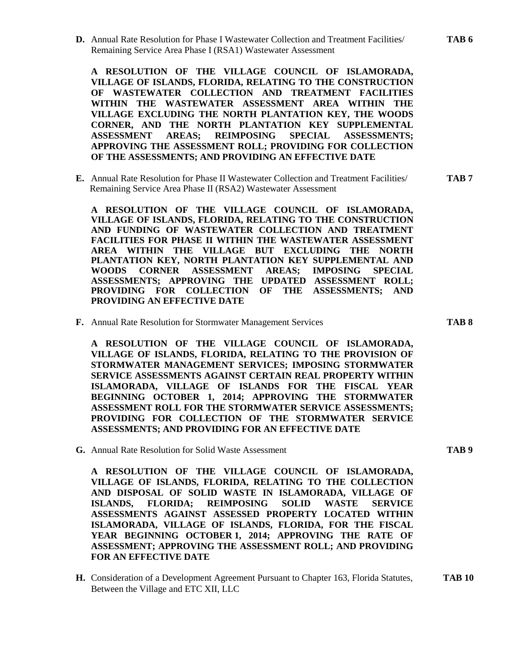**D.** Annual Rate Resolution for Phase I Wastewater Collection and Treatment Facilities/ **TAB 6** Remaining Service Area Phase I (RSA1) Wastewater Assessment

**A RESOLUTION OF THE VILLAGE COUNCIL OF ISLAMORADA, VILLAGE OF ISLANDS, FLORIDA, RELATING TO THE CONSTRUCTION OF WASTEWATER COLLECTION AND TREATMENT FACILITIES WITHIN THE WASTEWATER ASSESSMENT AREA WITHIN THE VILLAGE EXCLUDING THE NORTH PLANTATION KEY, THE WOODS CORNER, AND THE NORTH PLANTATION KEY SUPPLEMENTAL ASSESSMENT AREAS; REIMPOSING SPECIAL ASSESSMENTS; APPROVING THE ASSESSMENT ROLL; PROVIDING FOR COLLECTION OF THE ASSESSMENTS; AND PROVIDING AN EFFECTIVE DATE**

**E.** Annual Rate Resolution for Phase II Wastewater Collection and Treatment Facilities/ **TAB 7** Remaining Service Area Phase II (RSA2) Wastewater Assessment

**A RESOLUTION OF THE VILLAGE COUNCIL OF ISLAMORADA, VILLAGE OF ISLANDS, FLORIDA, RELATING TO THE CONSTRUCTION AND FUNDING OF WASTEWATER COLLECTION AND TREATMENT FACILITIES FOR PHASE II WITHIN THE WASTEWATER ASSESSMENT AREA WITHIN THE VILLAGE BUT EXCLUDING THE NORTH PLANTATION KEY, NORTH PLANTATION KEY SUPPLEMENTAL AND WOODS CORNER ASSESSMENT AREAS; IMPOSING SPECIAL ASSESSMENTS; APPROVING THE UPDATED ASSESSMENT ROLL; PROVIDING FOR COLLECTION OF THE ASSESSMENTS; AND PROVIDING AN EFFECTIVE DATE**

**F.** Annual Rate Resolution for Stormwater Management Services **TAB 8**

**A RESOLUTION OF THE VILLAGE COUNCIL OF ISLAMORADA, VILLAGE OF ISLANDS, FLORIDA, RELATING TO THE PROVISION OF STORMWATER MANAGEMENT SERVICES; IMPOSING STORMWATER SERVICE ASSESSMENTS AGAINST CERTAIN REAL PROPERTY WITHIN ISLAMORADA, VILLAGE OF ISLANDS FOR THE FISCAL YEAR BEGINNING OCTOBER 1, 2014; APPROVING THE STORMWATER ASSESSMENT ROLL FOR THE STORMWATER SERVICE ASSESSMENTS; PROVIDING FOR COLLECTION OF THE STORMWATER SERVICE ASSESSMENTS; AND PROVIDING FOR AN EFFECTIVE DATE**

**G.** Annual Rate Resolution for Solid Waste Assessment **TAB 9**

**A RESOLUTION OF THE VILLAGE COUNCIL OF ISLAMORADA, VILLAGE OF ISLANDS, FLORIDA, RELATING TO THE COLLECTION AND DISPOSAL OF SOLID WASTE IN ISLAMORADA, VILLAGE OF ISLANDS, FLORIDA; REIMPOSING SOLID WASTE SERVICE ASSESSMENTS AGAINST ASSESSED PROPERTY LOCATED WITHIN ISLAMORADA, VILLAGE OF ISLANDS, FLORIDA, FOR THE FISCAL YEAR BEGINNING OCTOBER 1, 2014; APPROVING THE RATE OF ASSESSMENT; APPROVING THE ASSESSMENT ROLL; AND PROVIDING FOR AN EFFECTIVE DATE**

**H.** Consideration of a Development Agreement Pursuant to Chapter 163, Florida Statutes, **TAB 10** Between the Village and ETC XII, LLC